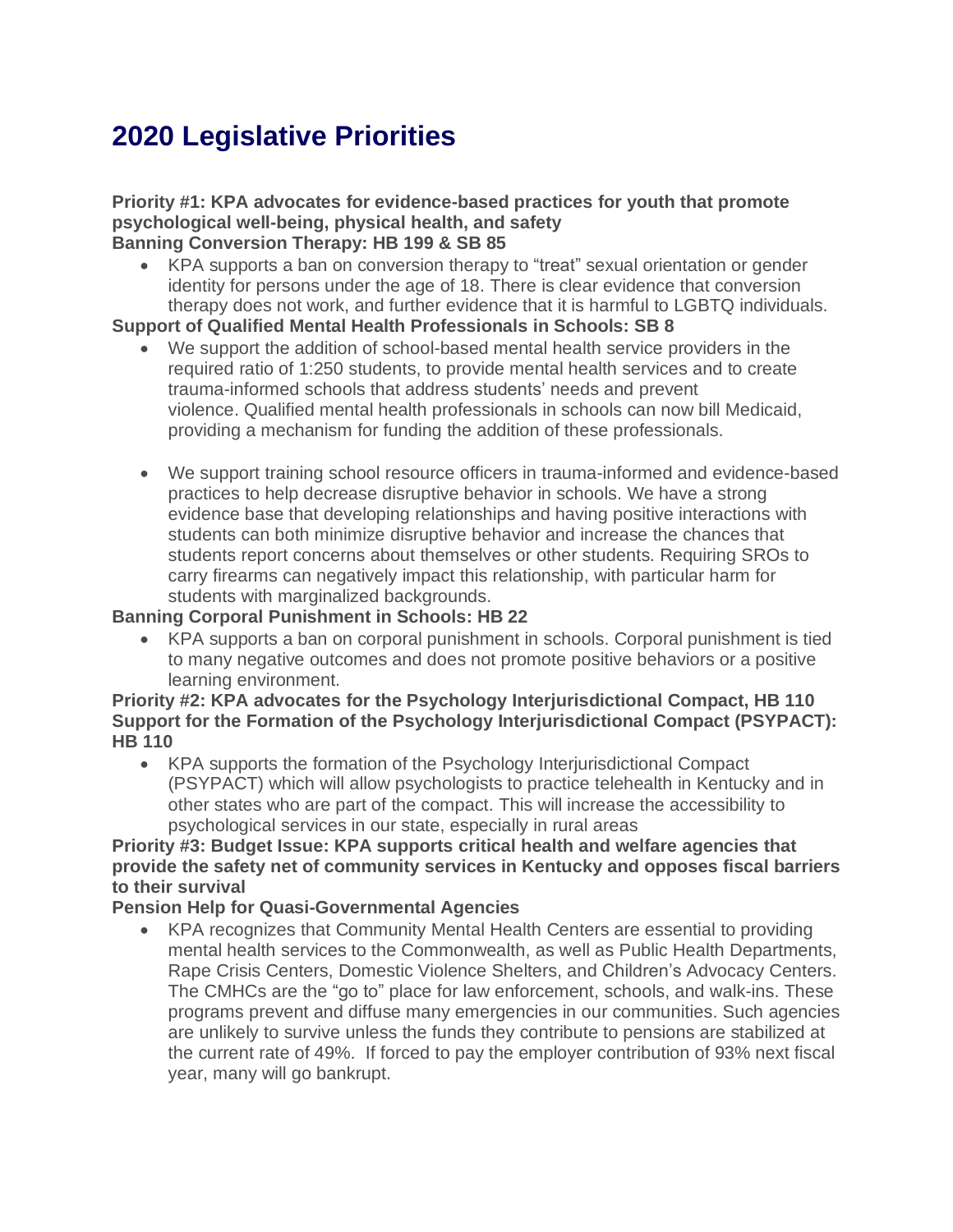# **2020 Legislative Priorities**

#### **Priority #1: KPA advocates for evidence-based practices for youth that promote psychological well-being, physical health, and safety Banning Conversion Therapy: HB 199 & SB 85**

• KPA supports a ban on conversion therapy to "treat" sexual orientation or gender identity for persons under the age of 18. There is clear evidence that conversion therapy does not work, and further evidence that it is harmful to LGBTQ individuals.

#### **Support of Qualified Mental Health Professionals in Schools: SB 8**

- We support the addition of school-based mental health service providers in the required ratio of 1:250 students, to provide mental health services and to create trauma-informed schools that address students' needs and prevent violence. Qualified mental health professionals in schools can now bill Medicaid, providing a mechanism for funding the addition of these professionals.
- We support training school resource officers in trauma-informed and evidence-based practices to help decrease disruptive behavior in schools. We have a strong evidence base that developing relationships and having positive interactions with students can both minimize disruptive behavior and increase the chances that students report concerns about themselves or other students. Requiring SROs to carry firearms can negatively impact this relationship, with particular harm for students with marginalized backgrounds.

#### **Banning Corporal Punishment in Schools: HB 22**

• KPA supports a ban on corporal punishment in schools. Corporal punishment is tied to many negative outcomes and does not promote positive behaviors or a positive learning environment.

#### **Priority #2: KPA advocates for the Psychology Interjurisdictional Compact, HB 110 Support for the Formation of the Psychology Interjurisdictional Compact (PSYPACT): HB 110**

• KPA supports the formation of the Psychology Interjurisdictional Compact (PSYPACT) which will allow psychologists to practice telehealth in Kentucky and in other states who are part of the compact. This will increase the accessibility to psychological services in our state, especially in rural areas

### **Priority #3: Budget Issue: KPA supports critical health and welfare agencies that provide the safety net of community services in Kentucky and opposes fiscal barriers to their survival**

### **Pension Help for Quasi-Governmental Agencies**

• KPA recognizes that Community Mental Health Centers are essential to providing mental health services to the Commonwealth, as well as Public Health Departments, Rape Crisis Centers, Domestic Violence Shelters, and Children's Advocacy Centers. The CMHCs are the "go to" place for law enforcement, schools, and walk-ins. These programs prevent and diffuse many emergencies in our communities. Such agencies are unlikely to survive unless the funds they contribute to pensions are stabilized at the current rate of 49%. If forced to pay the employer contribution of 93% next fiscal year, many will go bankrupt.